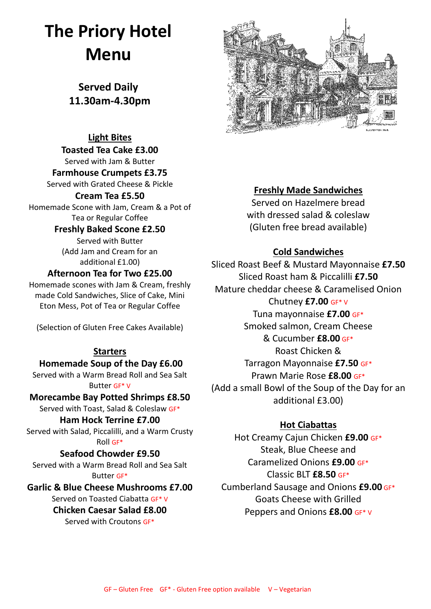# **The Priory Hotel Menu**

**Served Daily 11.30am-4.30pm** 

### **Light Bites**

**Toasted Tea Cake £3.00** Served with Jam & Butter

**Farmhouse Crumpets £3.75** Served with Grated Cheese & Pickle

#### **Cream Tea £5.50**

Homemade Scone with Jam, Cream & a Pot of Tea or Regular Coffee

### **Freshly Baked Scone £2.50**

Served with Butter (Add Jam and Cream for an additional £1.00)

### **Afternoon Tea for Two £25.00**

Homemade scones with Jam & Cream, freshly made Cold Sandwiches, Slice of Cake, Mini Eton Mess, Pot of Tea or Regular Coffee

(Selection of Gluten Free Cakes Available)

#### **Starters**

**Homemade Soup of the Day £6.00** Served with a Warm Bread Roll and Sea Salt Butter GF\* V

### **Morecambe Bay Potted Shrimps £8.50**

Served with Toast, Salad & Coleslaw GF\*

### **Ham Hock Terrine £7.00**

Served with Salad, Piccalilli, and a Warm Crusty Roll GF\*

### **Seafood Chowder £9.50**

Served with a Warm Bread Roll and Sea Salt Butter GF\*

### **Garlic & Blue Cheese Mushrooms £7.00**

Served on Toasted Ciabatta GF\* V **Chicken Caesar Salad £8.00** Served with Croutons GF\*



### **Freshly Made Sandwiches**

Served on Hazelmere bread with dressed salad & coleslaw (Gluten free bread available)

### **Cold Sandwiches**

Sliced Roast Beef & Mustard Mayonnaise **£7.50** Sliced Roast ham & Piccalilli **£7.50** Mature cheddar cheese & Caramelised Onion Chutney **£7.00** GF\* V Tuna mayonnaise **£7.00** GF\* Smoked salmon, Cream Cheese & Cucumber **£8.00** GF\* Roast Chicken &

Tarragon Mayonnaise **£7.50** GF\* Prawn Marie Rose **£8.00** GF\* (Add a small Bowl of the Soup of the Day for an additional £3.00)

### **Hot Ciabattas**

Hot Creamy Cajun Chicken **£9.00** GF\* Steak, Blue Cheese and Caramelized Onions **£9.00** GF\* Classic BLT **£8.50** GF\* Cumberland Sausage and Onions **£9.00** GF\* Goats Cheese with Grilled Peppers and Onions **£8.00** GF\* V